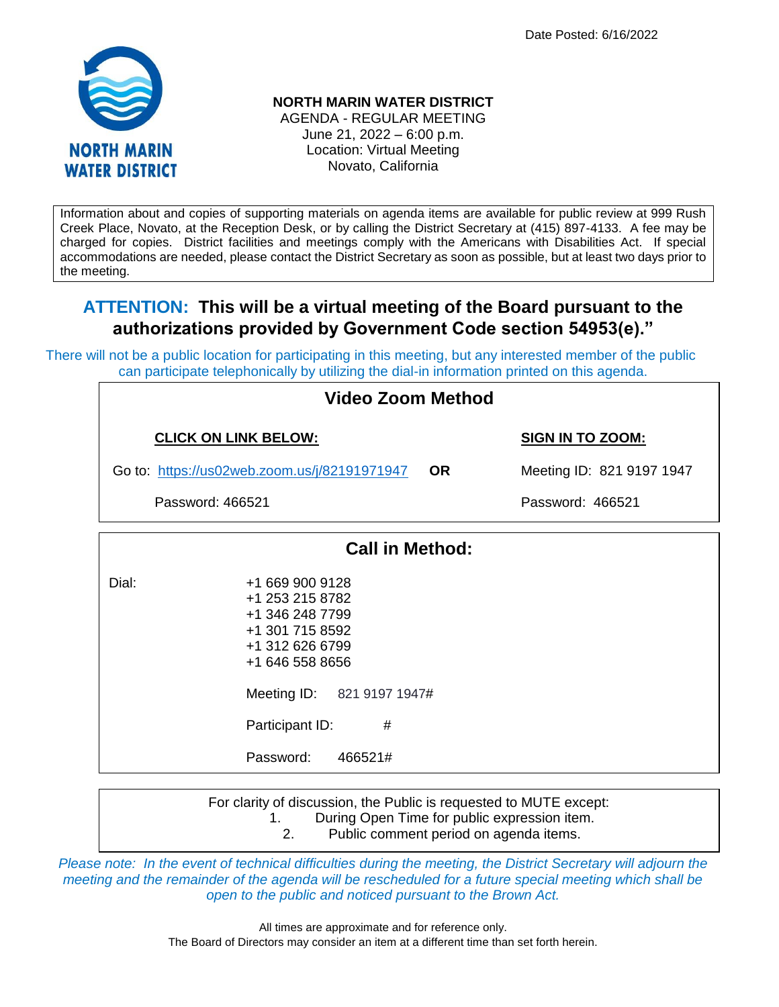Date Posted: 6/16/2022



# **NORTH MARIN WATER DISTRICT**

AGENDA - REGULAR MEETING June 21, 2022 – 6:00 p.m. Location: Virtual Meeting Novato, California

Information about and copies of supporting materials on agenda items are available for public review at 999 Rush Creek Place, Novato, at the Reception Desk, or by calling the District Secretary at (415) 897-4133. A fee may be charged for copies. District facilities and meetings comply with the Americans with Disabilities Act. If special accommodations are needed, please contact the District Secretary as soon as possible, but at least two days prior to the meeting.

# **ATTENTION: This will be a virtual meeting of the Board pursuant to the authorizations provided by Government Code section 54953(e)."**

There will not be a public location for participating in this meeting, but any interested member of the public can participate telephonically by utilizing the dial-in information printed on this agenda.

> +1 301 715 8592 +1 312 626 6799 +1 646 558 8656

Meeting ID: 821 9197 1947#

Participant ID: #

Password: 466521#

| Video Zoom Method      |                                                       |           |                           |  |  |  |
|------------------------|-------------------------------------------------------|-----------|---------------------------|--|--|--|
|                        | <b>CLICK ON LINK BELOW:</b>                           |           | <b>SIGN IN TO ZOOM:</b>   |  |  |  |
|                        | Go to: https://us02web.zoom.us/j/82191971947          | <b>OR</b> | Meeting ID: 821 9197 1947 |  |  |  |
|                        | Password: 466521                                      |           | Password: 466521          |  |  |  |
| <b>Call in Method:</b> |                                                       |           |                           |  |  |  |
| Dial:                  | +1 669 900 9128<br>+1 253 215 8782<br>+1 346 248 7799 |           |                           |  |  |  |

For clarity of discussion, the Public is requested to MUTE except: 1. During Open Time for public expression item.

2. Public comment period on agenda items.

*Please note: In the event of technical difficulties during the meeting, the District Secretary will adjourn the meeting and the remainder of the agenda will be rescheduled for a future special meeting which shall be open to the public and noticed pursuant to the Brown Act.*

> All times are approximate and for reference only. The Board of Directors may consider an item at a different time than set forth herein.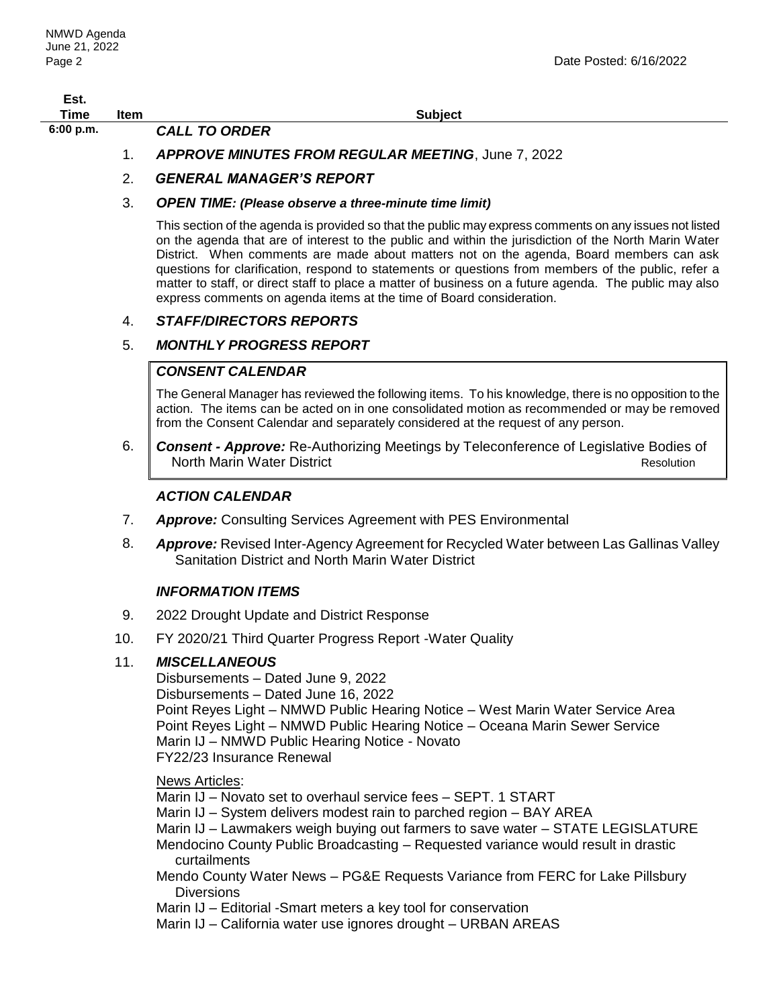| Est.        |      |                                                    |
|-------------|------|----------------------------------------------------|
| Time        | Item | <b>Subject</b>                                     |
| $6:00$ p.m. |      | <b>CALL TO ORDER</b>                               |
|             |      | APPROVE MINUTES FROM REGULAR MEETING, June 7, 2022 |

# 2. *GENERAL MANAGER'S REPORT*

#### 3. *OPEN TIME: (Please observe a three-minute time limit)*

This section of the agenda is provided so that the public may express comments on any issues not listed on the agenda that are of interest to the public and within the jurisdiction of the North Marin Water District. When comments are made about matters not on the agenda, Board members can ask questions for clarification, respond to statements or questions from members of the public, refer a matter to staff, or direct staff to place a matter of business on a future agenda. The public may also express comments on agenda items at the time of Board consideration.

#### 4. *STAFF/DIRECTORS REPORTS*

# 5. *MONTHLY PROGRESS REPORT*

# *CONSENT CALENDAR*

The General Manager has reviewed the following items. To his knowledge, there is no opposition to the action. The items can be acted on in one consolidated motion as recommended or may be removed from the Consent Calendar and separately considered at the request of any person.

6. *Consent - Approve:* Re-Authorizing Meetings by Teleconference of Legislative Bodies of North Marin Water District **Resolution** Resolution

# *ACTION CALENDAR*

- 7. *Approve:* Consulting Services Agreement with PES Environmental
- 8. *Approve:* Revised Inter-Agency Agreement for Recycled Water between Las Gallinas Valley Sanitation District and North Marin Water District

#### *INFORMATION ITEMS*

- 9. 2022 Drought Update and District Response
- 10. FY 2020/21 Third Quarter Progress Report -Water Quality

#### 11. *MISCELLANEOUS*

Disbursements – Dated June 9, 2022 Disbursements – Dated June 16, 2022 Point Reyes Light – NMWD Public Hearing Notice – West Marin Water Service Area Point Reyes Light – NMWD Public Hearing Notice – Oceana Marin Sewer Service Marin IJ – NMWD Public Hearing Notice - Novato FY22/23 Insurance Renewal

News Articles:

Marin IJ – Novato set to overhaul service fees – SEPT. 1 START Marin IJ – System delivers modest rain to parched region – BAY AREA Marin IJ – Lawmakers weigh buying out farmers to save water – STATE LEGISLATURE Mendocino County Public Broadcasting – Requested variance would result in drastic curtailments

Mendo County Water News – PG&E Requests Variance from FERC for Lake Pillsbury Diversions

Marin IJ – Editorial -Smart meters a key tool for conservation

Marin IJ – California water use ignores drought – URBAN AREAS